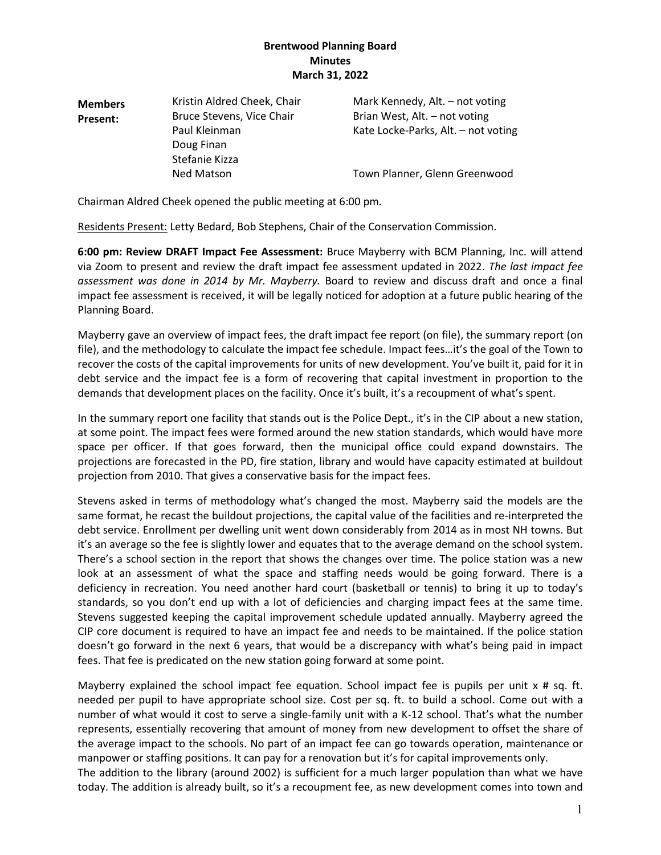| <b>Members</b> | Kristin Aldred Cheek, Chair | Mark Kennedy, Alt. - not voting     |
|----------------|-----------------------------|-------------------------------------|
| Present:       | Bruce Stevens, Vice Chair   | Brian West, Alt. - not voting       |
|                | Paul Kleinman               | Kate Locke-Parks, Alt. - not voting |
|                | Doug Finan                  |                                     |
|                | Stefanie Kizza              |                                     |
|                | <b>Ned Matson</b>           | Town Planner, Glenn Greenwood       |

Chairman Aldred Cheek opened the public meeting at 6:00 pm*.*

Residents Present: Letty Bedard, Bob Stephens, Chair of the Conservation Commission.

**6:00 pm: Review DRAFT Impact Fee Assessment:** Bruce Mayberry with BCM Planning, Inc. will attend via Zoom to present and review the draft impact fee assessment updated in 2022. *The last impact fee assessment was done in 2014 by Mr. Mayberry.* Board to review and discuss draft and once a final impact fee assessment is received, it will be legally noticed for adoption at a future public hearing of the Planning Board.

Mayberry gave an overview of impact fees, the draft impact fee report (on file), the summary report (on file), and the methodology to calculate the impact fee schedule. Impact fees…it's the goal of the Town to recover the costs of the capital improvements for units of new development. You've built it, paid for it in debt service and the impact fee is a form of recovering that capital investment in proportion to the demands that development places on the facility. Once it's built, it's a recoupment of what's spent.

In the summary report one facility that stands out is the Police Dept., it's in the CIP about a new station, at some point. The impact fees were formed around the new station standards, which would have more space per officer. If that goes forward, then the municipal office could expand downstairs. The projections are forecasted in the PD, fire station, library and would have capacity estimated at buildout projection from 2010. That gives a conservative basis for the impact fees.

Stevens asked in terms of methodology what's changed the most. Mayberry said the models are the same format, he recast the buildout projections, the capital value of the facilities and re-interpreted the debt service. Enrollment per dwelling unit went down considerably from 2014 as in most NH towns. But it's an average so the fee is slightly lower and equates that to the average demand on the school system. There's a school section in the report that shows the changes over time. The police station was a new look at an assessment of what the space and staffing needs would be going forward. There is a deficiency in recreation. You need another hard court (basketball or tennis) to bring it up to today's standards, so you don't end up with a lot of deficiencies and charging impact fees at the same time. Stevens suggested keeping the capital improvement schedule updated annually. Mayberry agreed the CIP core document is required to have an impact fee and needs to be maintained. If the police station doesn't go forward in the next 6 years, that would be a discrepancy with what's being paid in impact fees. That fee is predicated on the new station going forward at some point.

Mayberry explained the school impact fee equation. School impact fee is pupils per unit x # sq. ft. needed per pupil to have appropriate school size. Cost per sq. ft. to build a school. Come out with a number of what would it cost to serve a single-family unit with a K-12 school. That's what the number represents, essentially recovering that amount of money from new development to offset the share of the average impact to the schools. No part of an impact fee can go towards operation, maintenance or manpower or staffing positions. It can pay for a renovation but it's for capital improvements only.

The addition to the library (around 2002) is sufficient for a much larger population than what we have today. The addition is already built, so it's a recoupment fee, as new development comes into town and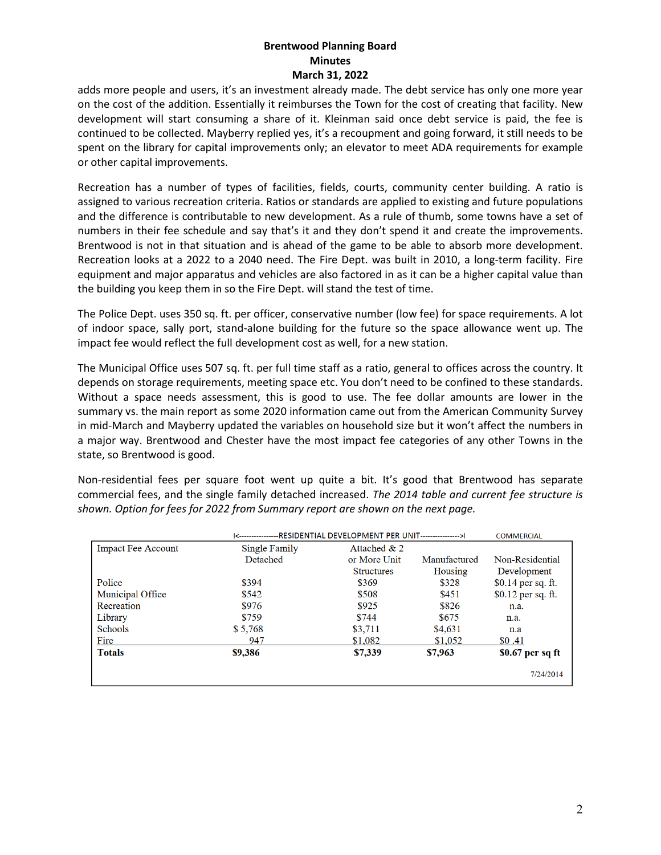adds more people and users, it's an investment already made. The debt service has only one more year on the cost of the addition. Essentially it reimburses the Town for the cost of creating that facility. New development will start consuming a share of it. Kleinman said once debt service is paid, the fee is continued to be collected. Mayberry replied yes, it's a recoupment and going forward, it still needs to be spent on the library for capital improvements only; an elevator to meet ADA requirements for example or other capital improvements.

Recreation has a number of types of facilities, fields, courts, community center building. A ratio is assigned to various recreation criteria. Ratios or standards are applied to existing and future populations and the difference is contributable to new development. As a rule of thumb, some towns have a set of numbers in their fee schedule and say that's it and they don't spend it and create the improvements. Brentwood is not in that situation and is ahead of the game to be able to absorb more development. Recreation looks at a 2022 to a 2040 need. The Fire Dept. was built in 2010, a long-term facility. Fire equipment and major apparatus and vehicles are also factored in as it can be a higher capital value than the building you keep them in so the Fire Dept. will stand the test of time.

The Police Dept. uses 350 sq. ft. per officer, conservative number (low fee) for space requirements. A lot of indoor space, sally port, stand-alone building for the future so the space allowance went up. The impact fee would reflect the full development cost as well, for a new station.

The Municipal Office uses 507 sq. ft. per full time staff as a ratio, general to offices across the country. It depends on storage requirements, meeting space etc. You don't need to be confined to these standards. Without a space needs assessment, this is good to use. The fee dollar amounts are lower in the summary vs. the main report as some 2020 information came out from the American Community Survey in mid-March and Mayberry updated the variables on household size but it won't affect the numbers in a major way. Brentwood and Chester have the most impact fee categories of any other Towns in the state, so Brentwood is good.

Non-residential fees per square foot went up quite a bit. It's good that Brentwood has separate commercial fees, and the single family detached increased. *The 2014 table and current fee structure is shown. Option for fees for 2022 from Summary report are shown on the next page.*

|                           | [<------------------RESIDENTIAL DEVELOPMENT PER UNIT---------------->] |                   |              | <b>COMMERCIAL</b>  |
|---------------------------|------------------------------------------------------------------------|-------------------|--------------|--------------------|
| <b>Impact Fee Account</b> | Single Family                                                          | Attached $& 2$    |              |                    |
|                           | Detached                                                               | or More Unit      | Manufactured | Non-Residential    |
|                           |                                                                        | <b>Structures</b> | Housing      | Development        |
| Police                    | \$394                                                                  | \$369             | \$328        | \$0.14 per sq. ft. |
| <b>Municipal Office</b>   | \$542                                                                  | \$508             | \$451        | \$0.12 per sq. ft. |
| Recreation                | \$976                                                                  | \$925             | \$826        | n.a.               |
| Library                   | \$759                                                                  | \$744             | \$675        | n.a.               |
| <b>Schools</b>            | \$5,768                                                                | \$3,711           | \$4,631      | n.a                |
| Fire                      | 947                                                                    | \$1,082           | \$1,052      | \$0.41             |
| <b>Totals</b>             | \$9,386                                                                | \$7,339           | \$7,963      | $$0.67$ per sq ft  |
|                           |                                                                        |                   |              | 7/24/2014          |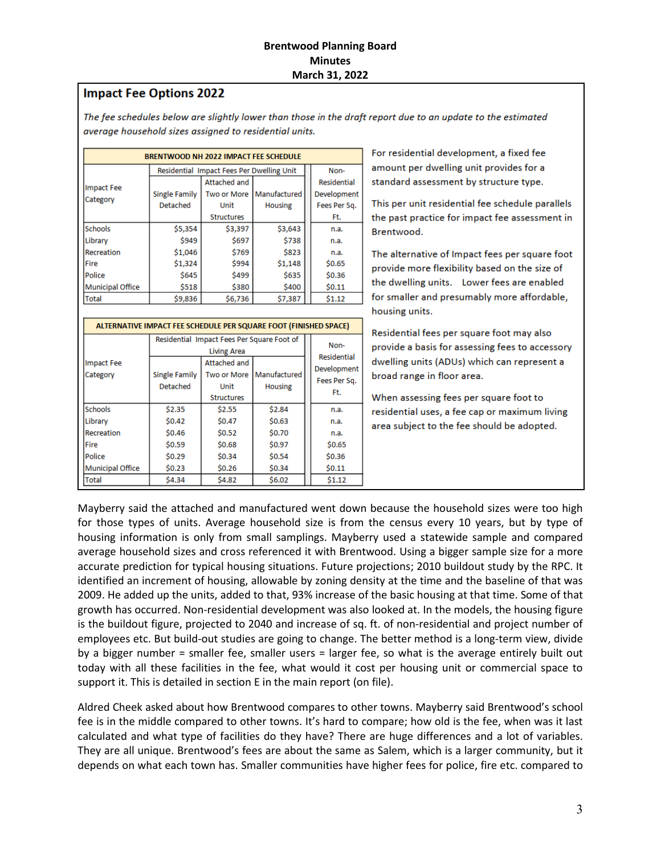# **Impact Fee Options 2022**

The fee schedules below are slightly lower than those in the draft report due to an update to the estimated average household sizes assigned to residential units.

| <b>BRENTWOOD NH 2022 IMPACT FEE SCHEDULE</b> |                                           |                   |                |  |              |
|----------------------------------------------|-------------------------------------------|-------------------|----------------|--|--------------|
|                                              | Residential Impact Fees Per Dwelling Unit |                   |                |  | Non-         |
| Impact Fee                                   |                                           | Attached and      |                |  | Residential  |
|                                              | <b>Single Family</b>                      | Two or More       | Manufactured   |  | Development  |
| Category                                     | <b>Detached</b>                           | Unit              | <b>Housing</b> |  | Fees Per Sq. |
|                                              |                                           | <b>Structures</b> |                |  | Ft.          |
| <b>Schools</b>                               | \$5,354                                   | \$3,397           | \$3,643        |  | n.a.         |
| <b>ILibrarv</b>                              | \$949                                     | \$697             | \$738          |  | n.a.         |
| Recreation                                   | \$1,046                                   | \$769             | \$823          |  | n.a.         |
| <b>Fire</b>                                  | \$1,324                                   | \$994             | \$1,148        |  | \$0.65       |
| Police                                       | \$645                                     | \$499             | \$635          |  | \$0.36       |
| Municipal Office                             | \$518                                     | \$380             | \$400          |  | \$0.11       |
| Total                                        | \$9,836                                   | \$6,736           | \$7,387        |  | \$1.12       |

| ALTERNATIVE IMPACT FEE SCHEDULE PER SQUARE FOOT (FINISHED SPACE) |                                                                  |                                                                 |                                |                            |                                    |
|------------------------------------------------------------------|------------------------------------------------------------------|-----------------------------------------------------------------|--------------------------------|----------------------------|------------------------------------|
|                                                                  | Residential Impact Fees Per Square Foot of<br><b>Living Area</b> |                                                                 |                                | Non-<br><b>Residential</b> |                                    |
| Impact Fee<br>Category                                           | <b>Single Family</b><br>Detached                                 | Attached and<br><b>Two or More</b><br>Unit<br><b>Structures</b> | Manufactured<br><b>Housing</b> |                            | Development<br>Fees Per Sq.<br>Ft. |
| <b>Schools</b>                                                   | \$2.35                                                           | \$2.55                                                          | \$2.84                         |                            | n.a.                               |
| Library                                                          | \$0.42                                                           | \$0.47                                                          | \$0.63                         |                            | n.a.                               |
| Recreation                                                       | \$0.46                                                           | \$0.52                                                          | \$0.70                         |                            | n.a.                               |
| Fire                                                             | \$0.59                                                           | \$0.68                                                          | \$0.97                         |                            | \$0.65                             |
| Police                                                           | \$0.29                                                           | \$0.34                                                          | \$0.54                         |                            | \$0.36                             |
| <b>Municipal Office</b>                                          | \$0.23                                                           | \$0.26                                                          | \$0.34                         |                            | \$0.11                             |
| Total                                                            | \$4.34                                                           | \$4.82                                                          | \$6.02                         |                            | \$1.12                             |

For residential development, a fixed fee amount per dwelling unit provides for a standard assessment by structure type.

This per unit residential fee schedule parallels the past practice for impact fee assessment in Brentwood.

The alternative of Impact fees per square foot provide more flexibility based on the size of the dwelling units. Lower fees are enabled for smaller and presumably more affordable, housing units.

Residential fees per square foot may also provide a basis for assessing fees to accessory dwelling units (ADUs) which can represent a broad range in floor area.

When assessing fees per square foot to residential uses, a fee cap or maximum living area subject to the fee should be adopted.

Mayberry said the attached and manufactured went down because the household sizes were too high for those types of units. Average household size is from the census every 10 years, but by type of housing information is only from small samplings. Mayberry used a statewide sample and compared average household sizes and cross referenced it with Brentwood. Using a bigger sample size for a more accurate prediction for typical housing situations. Future projections; 2010 buildout study by the RPC. It identified an increment of housing, allowable by zoning density at the time and the baseline of that was 2009. He added up the units, added to that, 93% increase of the basic housing at that time. Some of that growth has occurred. Non-residential development was also looked at. In the models, the housing figure is the buildout figure, projected to 2040 and increase of sq. ft. of non-residential and project number of employees etc. But build-out studies are going to change. The better method is a long-term view, divide by a bigger number = smaller fee, smaller users = larger fee, so what is the average entirely built out today with all these facilities in the fee, what would it cost per housing unit or commercial space to support it. This is detailed in section E in the main report (on file).

Aldred Cheek asked about how Brentwood compares to other towns. Mayberry said Brentwood's school fee is in the middle compared to other towns. It's hard to compare; how old is the fee, when was it last calculated and what type of facilities do they have? There are huge differences and a lot of variables. They are all unique. Brentwood's fees are about the same as Salem, which is a larger community, but it depends on what each town has. Smaller communities have higher fees for police, fire etc. compared to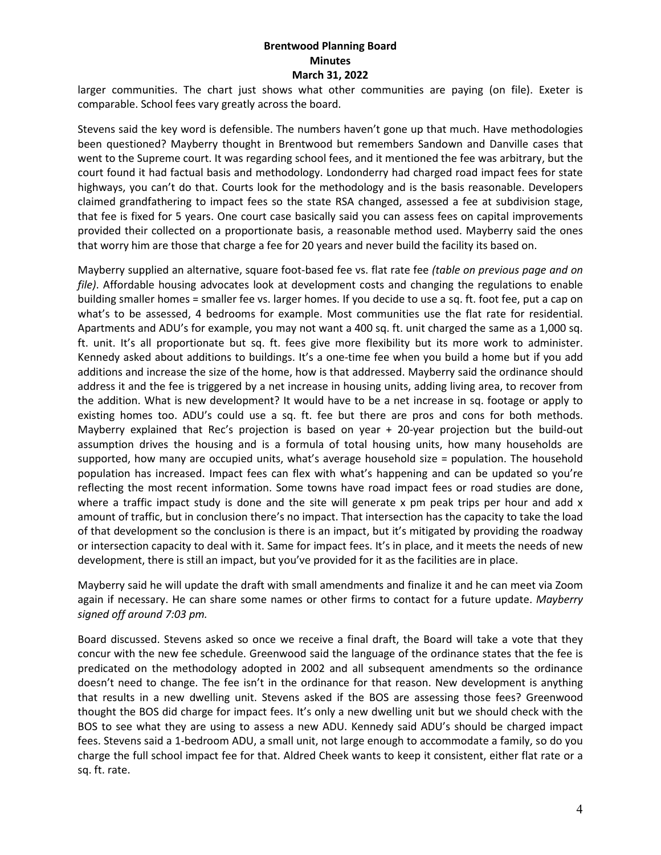larger communities. The chart just shows what other communities are paying (on file). Exeter is comparable. School fees vary greatly across the board.

Stevens said the key word is defensible. The numbers haven't gone up that much. Have methodologies been questioned? Mayberry thought in Brentwood but remembers Sandown and Danville cases that went to the Supreme court. It was regarding school fees, and it mentioned the fee was arbitrary, but the court found it had factual basis and methodology. Londonderry had charged road impact fees for state highways, you can't do that. Courts look for the methodology and is the basis reasonable. Developers claimed grandfathering to impact fees so the state RSA changed, assessed a fee at subdivision stage, that fee is fixed for 5 years. One court case basically said you can assess fees on capital improvements provided their collected on a proportionate basis, a reasonable method used. Mayberry said the ones that worry him are those that charge a fee for 20 years and never build the facility its based on.

Mayberry supplied an alternative, square foot-based fee vs. flat rate fee *(table on previous page and on file)*. Affordable housing advocates look at development costs and changing the regulations to enable building smaller homes = smaller fee vs. larger homes. If you decide to use a sq. ft. foot fee, put a cap on what's to be assessed, 4 bedrooms for example. Most communities use the flat rate for residential. Apartments and ADU's for example, you may not want a 400 sq. ft. unit charged the same as a 1,000 sq. ft. unit. It's all proportionate but sq. ft. fees give more flexibility but its more work to administer. Kennedy asked about additions to buildings. It's a one-time fee when you build a home but if you add additions and increase the size of the home, how is that addressed. Mayberry said the ordinance should address it and the fee is triggered by a net increase in housing units, adding living area, to recover from the addition. What is new development? It would have to be a net increase in sq. footage or apply to existing homes too. ADU's could use a sq. ft. fee but there are pros and cons for both methods. Mayberry explained that Rec's projection is based on year + 20-year projection but the build-out assumption drives the housing and is a formula of total housing units, how many households are supported, how many are occupied units, what's average household size = population. The household population has increased. Impact fees can flex with what's happening and can be updated so you're reflecting the most recent information. Some towns have road impact fees or road studies are done, where a traffic impact study is done and the site will generate x pm peak trips per hour and add x amount of traffic, but in conclusion there's no impact. That intersection has the capacity to take the load of that development so the conclusion is there is an impact, but it's mitigated by providing the roadway or intersection capacity to deal with it. Same for impact fees. It's in place, and it meets the needs of new development, there is still an impact, but you've provided for it as the facilities are in place.

Mayberry said he will update the draft with small amendments and finalize it and he can meet via Zoom again if necessary. He can share some names or other firms to contact for a future update. *Mayberry signed off around 7:03 pm.* 

Board discussed. Stevens asked so once we receive a final draft, the Board will take a vote that they concur with the new fee schedule. Greenwood said the language of the ordinance states that the fee is predicated on the methodology adopted in 2002 and all subsequent amendments so the ordinance doesn't need to change. The fee isn't in the ordinance for that reason. New development is anything that results in a new dwelling unit. Stevens asked if the BOS are assessing those fees? Greenwood thought the BOS did charge for impact fees. It's only a new dwelling unit but we should check with the BOS to see what they are using to assess a new ADU. Kennedy said ADU's should be charged impact fees. Stevens said a 1-bedroom ADU, a small unit, not large enough to accommodate a family, so do you charge the full school impact fee for that. Aldred Cheek wants to keep it consistent, either flat rate or a sq. ft. rate.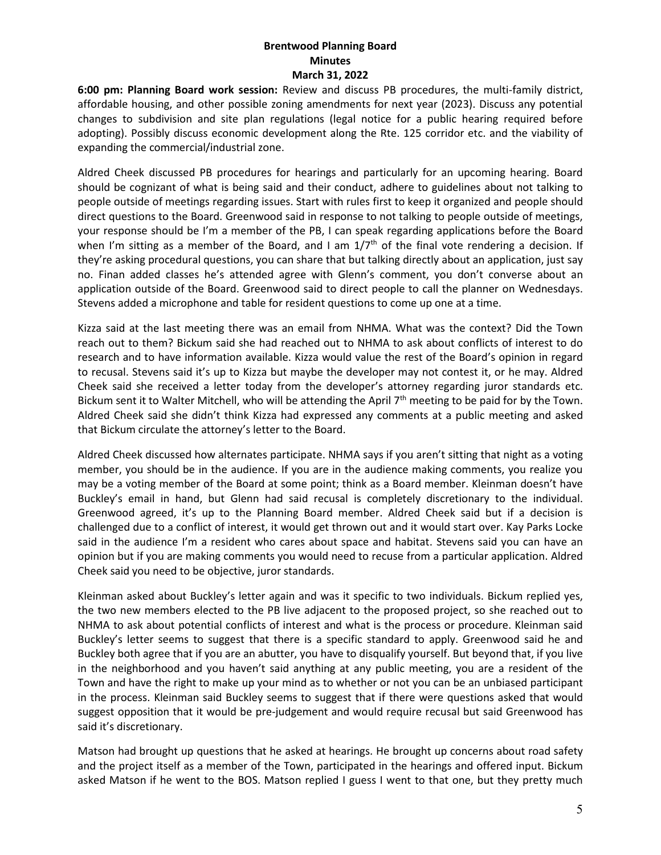**6:00 pm: Planning Board work session:** Review and discuss PB procedures, the multi-family district, affordable housing, and other possible zoning amendments for next year (2023). Discuss any potential changes to subdivision and site plan regulations (legal notice for a public hearing required before adopting). Possibly discuss economic development along the Rte. 125 corridor etc. and the viability of expanding the commercial/industrial zone.

Aldred Cheek discussed PB procedures for hearings and particularly for an upcoming hearing. Board should be cognizant of what is being said and their conduct, adhere to guidelines about not talking to people outside of meetings regarding issues. Start with rules first to keep it organized and people should direct questions to the Board. Greenwood said in response to not talking to people outside of meetings, your response should be I'm a member of the PB, I can speak regarding applications before the Board when I'm sitting as a member of the Board, and I am  $1/7<sup>th</sup>$  of the final vote rendering a decision. If they're asking procedural questions, you can share that but talking directly about an application, just say no. Finan added classes he's attended agree with Glenn's comment, you don't converse about an application outside of the Board. Greenwood said to direct people to call the planner on Wednesdays. Stevens added a microphone and table for resident questions to come up one at a time.

Kizza said at the last meeting there was an email from NHMA. What was the context? Did the Town reach out to them? Bickum said she had reached out to NHMA to ask about conflicts of interest to do research and to have information available. Kizza would value the rest of the Board's opinion in regard to recusal. Stevens said it's up to Kizza but maybe the developer may not contest it, or he may. Aldred Cheek said she received a letter today from the developer's attorney regarding juror standards etc. Bickum sent it to Walter Mitchell, who will be attending the April  $7<sup>th</sup>$  meeting to be paid for by the Town. Aldred Cheek said she didn't think Kizza had expressed any comments at a public meeting and asked that Bickum circulate the attorney's letter to the Board.

Aldred Cheek discussed how alternates participate. NHMA says if you aren't sitting that night as a voting member, you should be in the audience. If you are in the audience making comments, you realize you may be a voting member of the Board at some point; think as a Board member. Kleinman doesn't have Buckley's email in hand, but Glenn had said recusal is completely discretionary to the individual. Greenwood agreed, it's up to the Planning Board member. Aldred Cheek said but if a decision is challenged due to a conflict of interest, it would get thrown out and it would start over. Kay Parks Locke said in the audience I'm a resident who cares about space and habitat. Stevens said you can have an opinion but if you are making comments you would need to recuse from a particular application. Aldred Cheek said you need to be objective, juror standards.

Kleinman asked about Buckley's letter again and was it specific to two individuals. Bickum replied yes, the two new members elected to the PB live adjacent to the proposed project, so she reached out to NHMA to ask about potential conflicts of interest and what is the process or procedure. Kleinman said Buckley's letter seems to suggest that there is a specific standard to apply. Greenwood said he and Buckley both agree that if you are an abutter, you have to disqualify yourself. But beyond that, if you live in the neighborhood and you haven't said anything at any public meeting, you are a resident of the Town and have the right to make up your mind as to whether or not you can be an unbiased participant in the process. Kleinman said Buckley seems to suggest that if there were questions asked that would suggest opposition that it would be pre-judgement and would require recusal but said Greenwood has said it's discretionary.

Matson had brought up questions that he asked at hearings. He brought up concerns about road safety and the project itself as a member of the Town, participated in the hearings and offered input. Bickum asked Matson if he went to the BOS. Matson replied I guess I went to that one, but they pretty much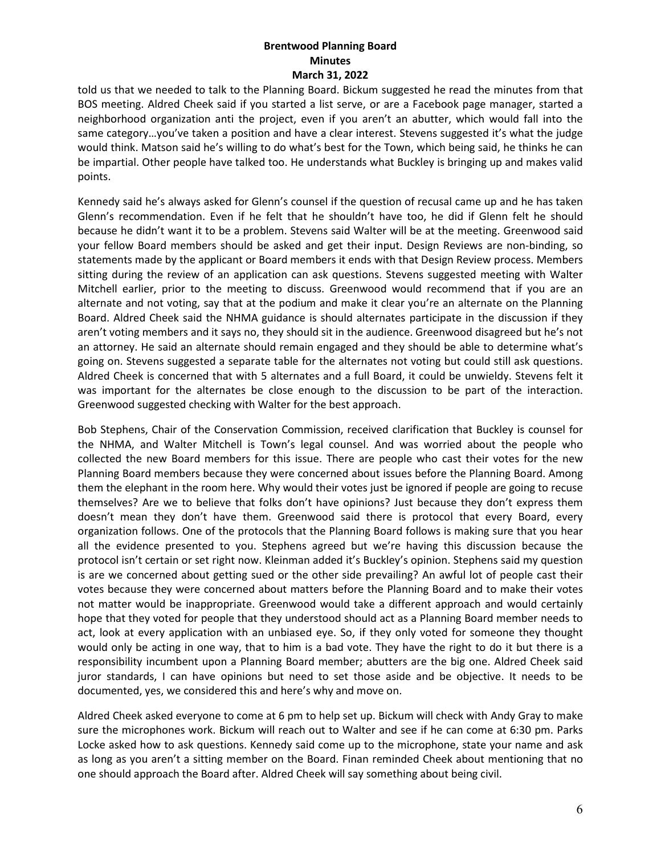told us that we needed to talk to the Planning Board. Bickum suggested he read the minutes from that BOS meeting. Aldred Cheek said if you started a list serve, or are a Facebook page manager, started a neighborhood organization anti the project, even if you aren't an abutter, which would fall into the same category…you've taken a position and have a clear interest. Stevens suggested it's what the judge would think. Matson said he's willing to do what's best for the Town, which being said, he thinks he can be impartial. Other people have talked too. He understands what Buckley is bringing up and makes valid points.

Kennedy said he's always asked for Glenn's counsel if the question of recusal came up and he has taken Glenn's recommendation. Even if he felt that he shouldn't have too, he did if Glenn felt he should because he didn't want it to be a problem. Stevens said Walter will be at the meeting. Greenwood said your fellow Board members should be asked and get their input. Design Reviews are non-binding, so statements made by the applicant or Board members it ends with that Design Review process. Members sitting during the review of an application can ask questions. Stevens suggested meeting with Walter Mitchell earlier, prior to the meeting to discuss. Greenwood would recommend that if you are an alternate and not voting, say that at the podium and make it clear you're an alternate on the Planning Board. Aldred Cheek said the NHMA guidance is should alternates participate in the discussion if they aren't voting members and it says no, they should sit in the audience. Greenwood disagreed but he's not an attorney. He said an alternate should remain engaged and they should be able to determine what's going on. Stevens suggested a separate table for the alternates not voting but could still ask questions. Aldred Cheek is concerned that with 5 alternates and a full Board, it could be unwieldy. Stevens felt it was important for the alternates be close enough to the discussion to be part of the interaction. Greenwood suggested checking with Walter for the best approach.

Bob Stephens, Chair of the Conservation Commission, received clarification that Buckley is counsel for the NHMA, and Walter Mitchell is Town's legal counsel. And was worried about the people who collected the new Board members for this issue. There are people who cast their votes for the new Planning Board members because they were concerned about issues before the Planning Board. Among them the elephant in the room here. Why would their votes just be ignored if people are going to recuse themselves? Are we to believe that folks don't have opinions? Just because they don't express them doesn't mean they don't have them. Greenwood said there is protocol that every Board, every organization follows. One of the protocols that the Planning Board follows is making sure that you hear all the evidence presented to you. Stephens agreed but we're having this discussion because the protocol isn't certain or set right now. Kleinman added it's Buckley's opinion. Stephens said my question is are we concerned about getting sued or the other side prevailing? An awful lot of people cast their votes because they were concerned about matters before the Planning Board and to make their votes not matter would be inappropriate. Greenwood would take a different approach and would certainly hope that they voted for people that they understood should act as a Planning Board member needs to act, look at every application with an unbiased eye. So, if they only voted for someone they thought would only be acting in one way, that to him is a bad vote. They have the right to do it but there is a responsibility incumbent upon a Planning Board member; abutters are the big one. Aldred Cheek said juror standards, I can have opinions but need to set those aside and be objective. It needs to be documented, yes, we considered this and here's why and move on.

Aldred Cheek asked everyone to come at 6 pm to help set up. Bickum will check with Andy Gray to make sure the microphones work. Bickum will reach out to Walter and see if he can come at 6:30 pm. Parks Locke asked how to ask questions. Kennedy said come up to the microphone, state your name and ask as long as you aren't a sitting member on the Board. Finan reminded Cheek about mentioning that no one should approach the Board after. Aldred Cheek will say something about being civil.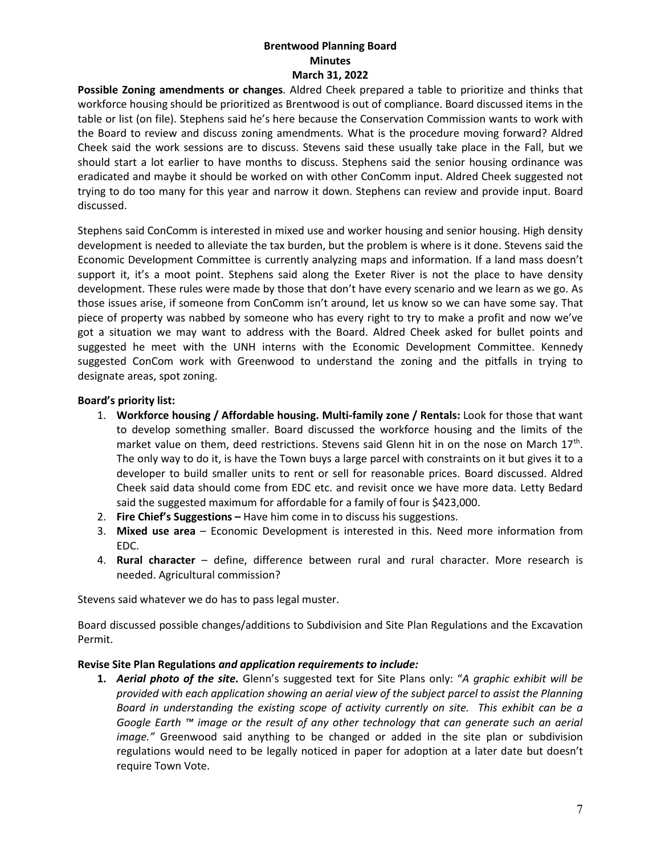**Possible Zoning amendments or changes**. Aldred Cheek prepared a table to prioritize and thinks that workforce housing should be prioritized as Brentwood is out of compliance. Board discussed items in the table or list (on file). Stephens said he's here because the Conservation Commission wants to work with the Board to review and discuss zoning amendments. What is the procedure moving forward? Aldred Cheek said the work sessions are to discuss. Stevens said these usually take place in the Fall, but we should start a lot earlier to have months to discuss. Stephens said the senior housing ordinance was eradicated and maybe it should be worked on with other ConComm input. Aldred Cheek suggested not trying to do too many for this year and narrow it down. Stephens can review and provide input. Board discussed.

Stephens said ConComm is interested in mixed use and worker housing and senior housing. High density development is needed to alleviate the tax burden, but the problem is where is it done. Stevens said the Economic Development Committee is currently analyzing maps and information. If a land mass doesn't support it, it's a moot point. Stephens said along the Exeter River is not the place to have density development. These rules were made by those that don't have every scenario and we learn as we go. As those issues arise, if someone from ConComm isn't around, let us know so we can have some say. That piece of property was nabbed by someone who has every right to try to make a profit and now we've got a situation we may want to address with the Board. Aldred Cheek asked for bullet points and suggested he meet with the UNH interns with the Economic Development Committee. Kennedy suggested ConCom work with Greenwood to understand the zoning and the pitfalls in trying to designate areas, spot zoning.

## **Board's priority list:**

- 1. **Workforce housing / Affordable housing. Multi-family zone / Rentals:** Look for those that want to develop something smaller. Board discussed the workforce housing and the limits of the market value on them, deed restrictions. Stevens said Glenn hit in on the nose on March  $17<sup>th</sup>$ . The only way to do it, is have the Town buys a large parcel with constraints on it but gives it to a developer to build smaller units to rent or sell for reasonable prices. Board discussed. Aldred Cheek said data should come from EDC etc. and revisit once we have more data. Letty Bedard said the suggested maximum for affordable for a family of four is \$423,000.
- 2. **Fire Chief's Suggestions –** Have him come in to discuss his suggestions.
- 3. **Mixed use area** Economic Development is interested in this. Need more information from EDC.
- 4. **Rural character** define, difference between rural and rural character. More research is needed. Agricultural commission?

Stevens said whatever we do has to pass legal muster.

Board discussed possible changes/additions to Subdivision and Site Plan Regulations and the Excavation Permit.

#### **Revise Site Plan Regulations** *and application requirements to include:*

**1.** *Aerial photo of the site.* Glenn's suggested text for Site Plans only: "*A graphic exhibit will be provided with each application showing an aerial view of the subject parcel to assist the Planning Board in understanding the existing scope of activity currently on site. This exhibit can be a Google Earth ™ image or the result of any other technology that can generate such an aerial image."* Greenwood said anything to be changed or added in the site plan or subdivision regulations would need to be legally noticed in paper for adoption at a later date but doesn't require Town Vote.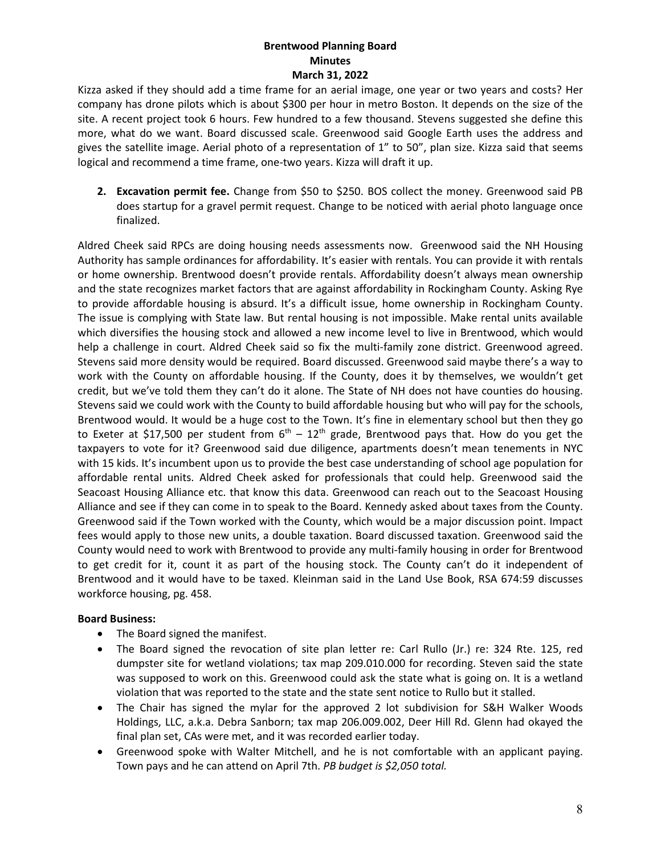Kizza asked if they should add a time frame for an aerial image, one year or two years and costs? Her company has drone pilots which is about \$300 per hour in metro Boston. It depends on the size of the site. A recent project took 6 hours. Few hundred to a few thousand. Stevens suggested she define this more, what do we want. Board discussed scale. Greenwood said Google Earth uses the address and gives the satellite image. Aerial photo of a representation of 1" to 50", plan size. Kizza said that seems logical and recommend a time frame, one-two years. Kizza will draft it up.

**2. Excavation permit fee.** Change from \$50 to \$250. BOS collect the money. Greenwood said PB does startup for a gravel permit request. Change to be noticed with aerial photo language once finalized.

Aldred Cheek said RPCs are doing housing needs assessments now. Greenwood said the NH Housing Authority has sample ordinances for affordability. It's easier with rentals. You can provide it with rentals or home ownership. Brentwood doesn't provide rentals. Affordability doesn't always mean ownership and the state recognizes market factors that are against affordability in Rockingham County. Asking Rye to provide affordable housing is absurd. It's a difficult issue, home ownership in Rockingham County. The issue is complying with State law. But rental housing is not impossible. Make rental units available which diversifies the housing stock and allowed a new income level to live in Brentwood, which would help a challenge in court. Aldred Cheek said so fix the multi-family zone district. Greenwood agreed. Stevens said more density would be required. Board discussed. Greenwood said maybe there's a way to work with the County on affordable housing. If the County, does it by themselves, we wouldn't get credit, but we've told them they can't do it alone. The State of NH does not have counties do housing. Stevens said we could work with the County to build affordable housing but who will pay for the schools, Brentwood would. It would be a huge cost to the Town. It's fine in elementary school but then they go to Exeter at \$17,500 per student from  $6^{\text{th}}$  –  $12^{\text{th}}$  grade, Brentwood pays that. How do you get the taxpayers to vote for it? Greenwood said due diligence, apartments doesn't mean tenements in NYC with 15 kids. It's incumbent upon us to provide the best case understanding of school age population for affordable rental units. Aldred Cheek asked for professionals that could help. Greenwood said the Seacoast Housing Alliance etc. that know this data. Greenwood can reach out to the Seacoast Housing Alliance and see if they can come in to speak to the Board. Kennedy asked about taxes from the County. Greenwood said if the Town worked with the County, which would be a major discussion point. Impact fees would apply to those new units, a double taxation. Board discussed taxation. Greenwood said the County would need to work with Brentwood to provide any multi-family housing in order for Brentwood to get credit for it, count it as part of the housing stock. The County can't do it independent of Brentwood and it would have to be taxed. Kleinman said in the Land Use Book, RSA 674:59 discusses workforce housing, pg. 458.

#### **Board Business:**

- The Board signed the manifest.
- The Board signed the revocation of site plan letter re: Carl Rullo (Jr.) re: 324 Rte. 125, red dumpster site for wetland violations; tax map 209.010.000 for recording. Steven said the state was supposed to work on this. Greenwood could ask the state what is going on. It is a wetland violation that was reported to the state and the state sent notice to Rullo but it stalled.
- The Chair has signed the mylar for the approved 2 lot subdivision for S&H Walker Woods Holdings, LLC, a.k.a. Debra Sanborn; tax map 206.009.002, Deer Hill Rd. Glenn had okayed the final plan set, CAs were met, and it was recorded earlier today.
- Greenwood spoke with Walter Mitchell, and he is not comfortable with an applicant paying. Town pays and he can attend on April 7th. *PB budget is \$2,050 total.*